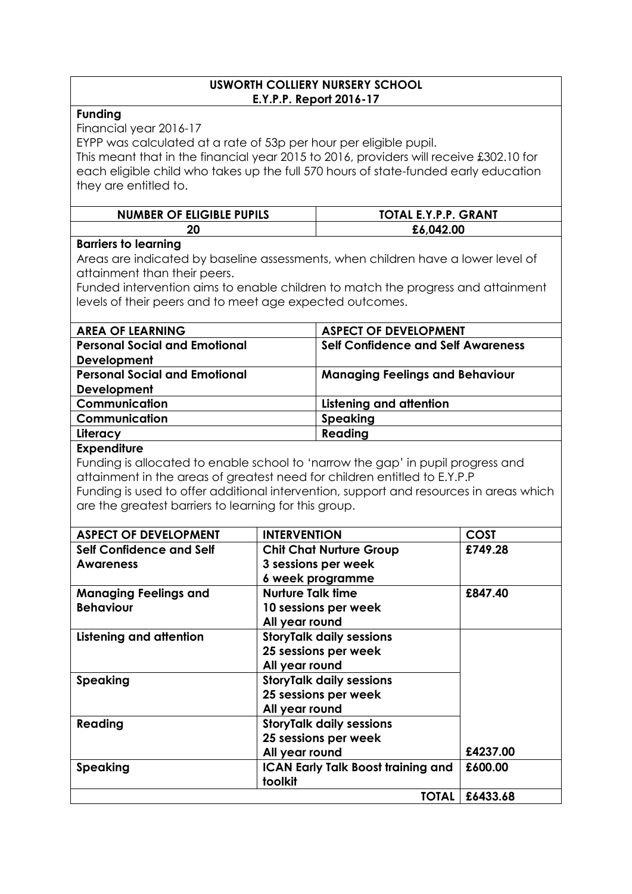#### **USWORTH COLLIERY NURSERY SCHOOL E.Y.P.P. Report 2016-17**

### **Funding**

Financial year 2016-17

EYPP was calculated at a rate of 53p per hour per eligible pupil.

This meant that in the financial year 2015 to 2016, providers will receive £302.10 for each eligible child who takes up the full 570 hours of state-funded early education they are entitled to.

| <b>NUMBER OF ELIGIBLE PUPILS</b> | TOTAL E.Y.P.P. GRANT |  |  |
|----------------------------------|----------------------|--|--|
| 20                               | £6,042.00            |  |  |

## **Barriers to learning**

Areas are indicated by baseline assessments, when children have a lower level of attainment than their peers.

Funded intervention aims to enable children to match the progress and attainment levels of their peers and to meet age expected outcomes.

| <b>AREA OF LEARNING</b>              | <b>ASPECT OF DEVELOPMENT</b>              |
|--------------------------------------|-------------------------------------------|
| <b>Personal Social and Emotional</b> | <b>Self Confidence and Self Awareness</b> |
| <b>Development</b>                   |                                           |
| <b>Personal Social and Emotional</b> | <b>Managing Feelings and Behaviour</b>    |
| Development                          |                                           |
| Communication                        | Listening and attention                   |
| Communication                        | Speaking                                  |
| Literacy                             | Reading                                   |
|                                      |                                           |

### **Expenditure**

Funding is allocated to enable school to 'narrow the gap' in pupil progress and attainment in the areas of greatest need for children entitled to E.Y.P.P Funding is used to offer additional intervention, support and resources in areas which are the greatest barriers to learning for this group.

| <b>ASPECT OF DEVELOPMENT</b> | <b>INTERVENTION</b>                       | <b>COST</b> |
|------------------------------|-------------------------------------------|-------------|
| Self Confidence and Self     | <b>Chit Chat Nurture Group</b>            | £749.28     |
| <b>Awareness</b>             | 3 sessions per week                       |             |
|                              | 6 week programme                          |             |
| <b>Managing Feelings and</b> | <b>Nurture Talk time</b>                  | £847.40     |
| <b>Behaviour</b>             | 10 sessions per week                      |             |
|                              | All year round                            |             |
| Listening and attention      | <b>StoryTalk daily sessions</b>           |             |
|                              | 25 sessions per week                      |             |
|                              | All year round                            |             |
| <b>Speaking</b>              | <b>StoryTalk daily sessions</b>           |             |
|                              | 25 sessions per week                      |             |
|                              | All year round                            |             |
| Reading                      | <b>StoryTalk daily sessions</b>           |             |
|                              | 25 sessions per week                      |             |
|                              | All year round                            | £4237.00    |
| <b>Speaking</b>              | <b>ICAN Early Talk Boost training and</b> | £600.00     |
|                              | toolkit                                   |             |
|                              | TOTAL                                     | £6433.68    |